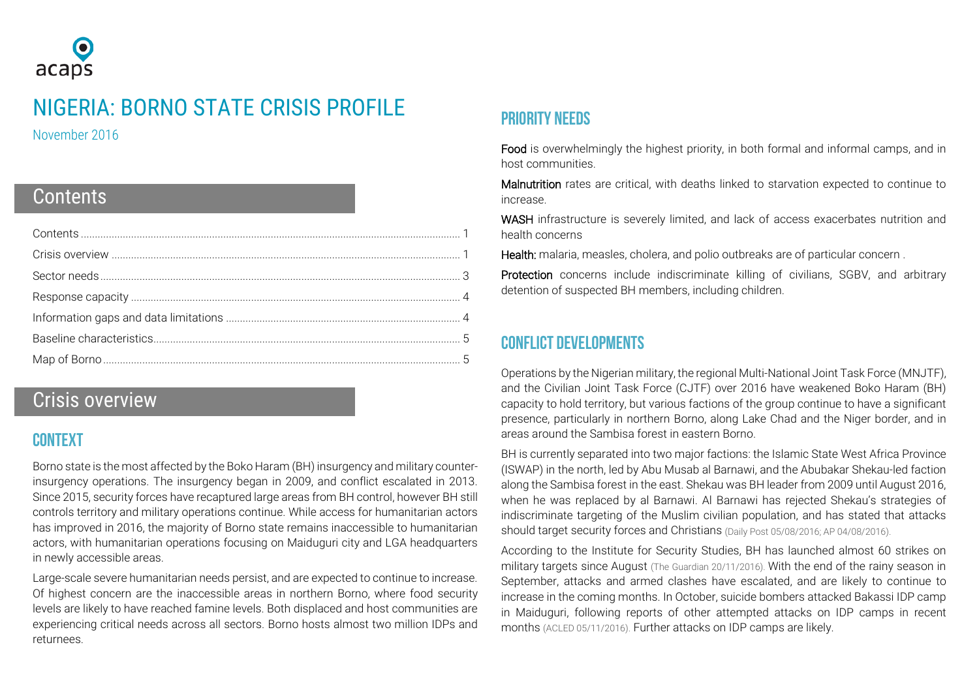

# NIGERIA: BORNO STATE CRISIS PROFILE

November 2016

## <span id="page-0-0"></span>**Contents**

## <span id="page-0-1"></span>Crisis overview

## **CONTEXT**

Borno state is the most affected by the Boko Haram (BH) insurgency and military counterinsurgency operations. The insurgency began in 2009, and conflict escalated in 2013. Since 2015, security forces have recaptured large areas from BH control, however BH still controls territory and military operations continue. While access for humanitarian actors has improved in 2016, the majority of Borno state remains inaccessible to humanitarian actors, with humanitarian operations focusing on Maiduguri city and LGA headquarters in newly accessible areas.

Large-scale severe humanitarian needs persist, and are expected to continue to increase. Of highest concern are the inaccessible areas in northern Borno, where food security levels are likely to have reached famine levels. Both displaced and host communities are experiencing critical needs across all sectors. Borno hosts almost two million IDPs and returnees.

## Priority needs

Food is overwhelmingly the highest priority, in both formal and informal camps, and in host communities.

Malnutrition rates are critical, with deaths linked to starvation expected to continue to increase.

WASH infrastructure is severely limited, and lack of access exacerbates nutrition and health concerns

Health: malaria, measles, cholera, and polio outbreaks are of particular concern .

Protection concerns include indiscriminate killing of civilians, SGBV, and arbitrary detention of suspected BH members, including children.

## Conflict developments

Operations by the Nigerian military, the regional Multi-National Joint Task Force (MNJTF), and the Civilian Joint Task Force (CJTF) over 2016 have weakened Boko Haram (BH) capacity to hold territory, but various factions of the group continue to have a significant presence, particularly in northern Borno, along Lake Chad and the Niger border, and in areas around the Sambisa forest in eastern Borno.

BH is currently separated into two major factions: the Islamic State West Africa Province (ISWAP) in the north, led by Abu Musab al Barnawi, and the Abubakar Shekau-led faction along the Sambisa forest in the east. Shekau was BH leader from 2009 until August 2016, when he was replaced by al Barnawi. Al Barnawi has rejected Shekau's strategies of indiscriminate targeting of the Muslim civilian population, and has stated that attacks should target security forces and Christians [\(Daily Post 05/08/2016;](http://dailypost.ng/2016/08/05/new-boko-haram-leader-al-barnawi-accuses-shekau-corruption-unjustifiable-killing-muslims/) [AP 04/08/2016\)](http://bigstory.ap.org/article/ba0559a21dcc42d0bf279f3aa199fa39/islamic-state-group-announces-new-boko-haram-leader).

According to the Institute for Security Studies, BH has launched almost 60 strikes on military targets since August [\(The Guardian 20/11/2016\).](https://www.theguardian.com/world/2016/nov/20/nigerian-clashes-doubt-boko-haram-technically-defeated) With the end of the rainy season in September, attacks and armed clashes have escalated, and are likely to continue to increase in the coming months. In October, suicide bombers attacked Bakassi IDP camp in Maiduguri, following reports of other attempted attacks on IDP camps in recent months [\(ACLED 05/11/2016\)](http://www.acleddata.com/data/realtime-data-2016/). Further attacks on IDP camps are likely.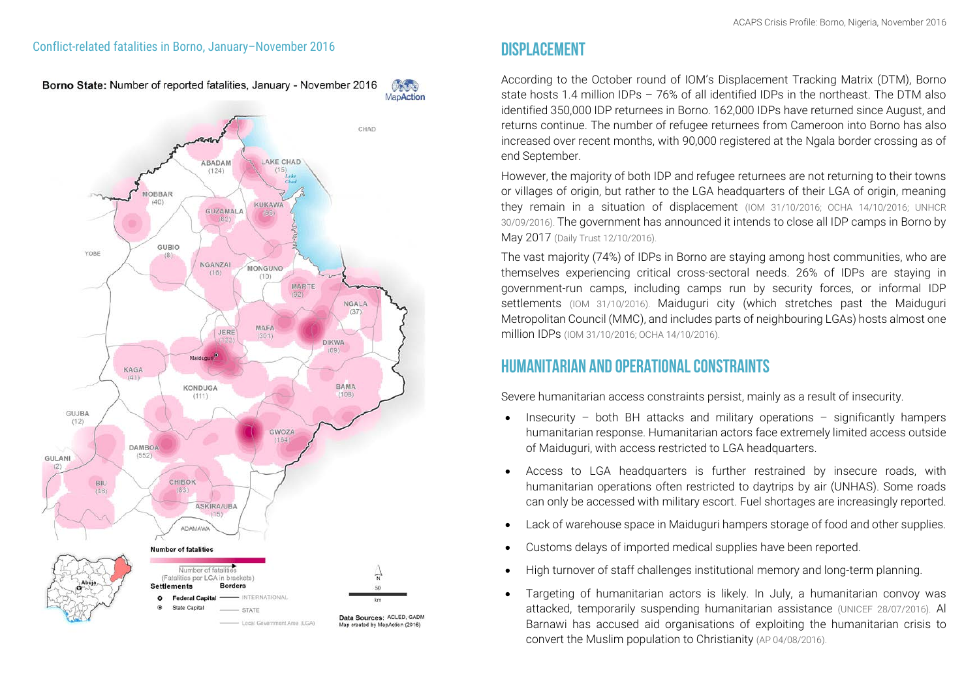Borno State: Number of reported fatalities, January - November 2016 Chang



According to the October round of IOM's Displacement Tracking Matrix (DTM), Borno state hosts 1.4 million IDPs – 76% of all identified IDPs in the northeast. The DTM also identified 350,000 IDP returnees in Borno. 162,000 IDPs have returned since August, and returns continue. The number of refugee returnees from Cameroon into Borno has also increased over recent months, with 90,000 registered at the Ngala border crossing as of end September.

However, the majority of both IDP and refugee returnees are not returning to their towns or villages of origin, but rather to the LGA headquarters of their LGA of origin, meaning they remain in a situation of displacement [\(IOM 31/10/2016;](http://reliefweb.int/sites/reliefweb.int/files/resources/01_dtm_nigeria_round_xii_report_october_2016.pdf) [OCHA 14/10/2016;](http://reliefweb.int/sites/reliefweb.int/files/resources/ocha_nga_displacement_snapshot_14102016.pdf) [UNHCR](http://reliefweb.int/sites/reliefweb.int/files/resources/unhcr_monthly_september_2016_002.pdf)  [30/09/2016\).](http://reliefweb.int/sites/reliefweb.int/files/resources/unhcr_monthly_september_2016_002.pdf) The government has announced it intends to close all IDP camps in Borno by May 2017 [\(Daily Trust 12/10/2016\).](http://www.dailytrust.com.ng/news/general/borno-govt-to-shut-all-idps-camps-in-2017/166440.html)

The vast majority (74%) of IDPs in Borno are staying among host communities, who are themselves experiencing critical cross-sectoral needs. 26% of IDPs are staying in government-run camps, including camps run by security forces, or informal IDP settlements [\(IOM 31/10/2016\).](http://reliefweb.int/sites/reliefweb.int/files/resources/01_dtm_nigeria_round_xii_report_october_2016.pdf) Maiduguri city (which stretches past the Maiduguri Metropolitan Council (MMC), and includes parts of neighbouring LGAs) hosts almost one million IDPs [\(IOM 31/10/2016;](https://nigeria.iom.int/dtm-october-2016) [OCHA 14/10/2016\).](http://reliefweb.int/sites/reliefweb.int/files/resources/ocha_nga_displacement_snapshot_14102016.pdf)

## Humanitarian and operational constraints

Severe humanitarian access constraints persist, mainly as a result of insecurity.

- Insecurity both BH attacks and military operations significantly hampers humanitarian response. Humanitarian actors face extremely limited access outside of Maiduguri, with access restricted to LGA headquarters.
- Access to LGA headquarters is further restrained by insecure roads, with humanitarian operations often restricted to daytrips by air (UNHAS). Some roads can only be accessed with military escort. Fuel shortages are increasingly reported.
- Lack of warehouse space in Maiduguri hampers storage of food and other supplies.
- Customs delays of imported medical supplies have been reported.
- High turnover of staff challenges institutional memory and long-term planning.
- Targeting of humanitarian actors is likely. In July, a humanitarian convoy was attacked, temporarily suspending humanitarian assistance [\(UNICEF 28/07/2016\).](http://reliefweb.int/report/nigeria/unicef-statement-attack-humanitarian-convoy-northeastern-nigeria) Al Barnawi has accused aid organisations of exploiting the humanitarian crisis to convert the Muslim population to Christianity [\(AP 04/08/2016\)](http://bigstory.ap.org/article/ba0559a21dcc42d0bf279f3aa199fa39/islamic-state-group-announces-new-boko-haram-leader).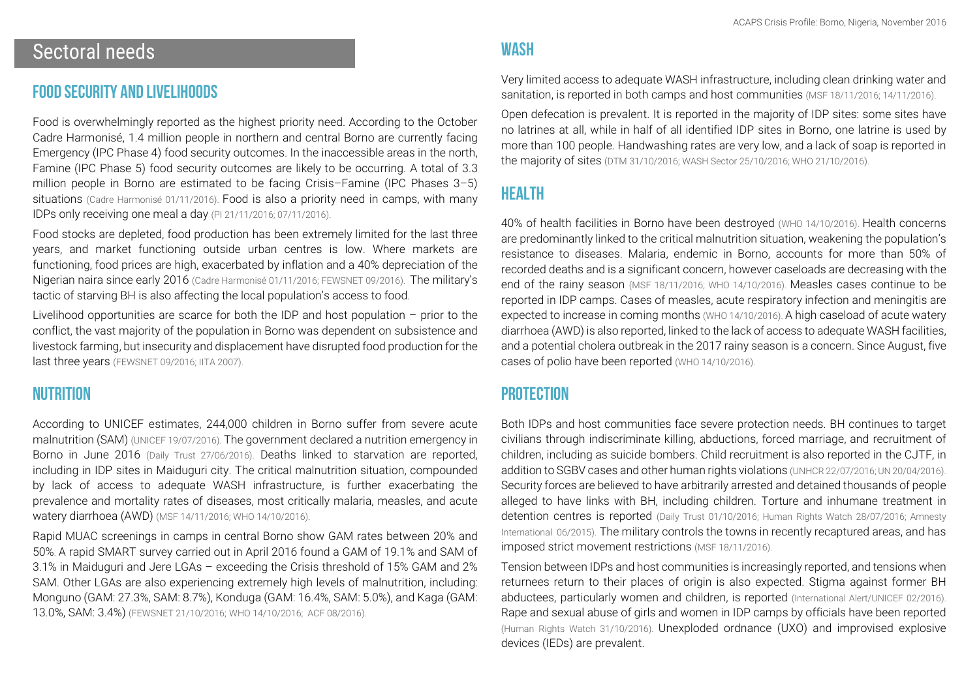## <span id="page-2-0"></span>Sectoral needs

#### Food security and livelihoods

Food is overwhelmingly reported as the highest priority need. According to the October Cadre Harmonisé, 1.4 million people in northern and central Borno are currently facing Emergency (IPC Phase 4) food security outcomes. In the inaccessible areas in the north, Famine (IPC Phase 5) food security outcomes are likely to be occurring. A total of 3.3 million people in Borno are estimated to be facing Crisis–Famine (IPC Phases 3-5) situations [\(Cadre Harmonisé 01/11/2016\)](http://reliefweb.int/sites/reliefweb.int/files/resources/fiche_oct_2016-nigeria_finalized_1-11-16.pdf). Food is also a priority need in camps, with many IDPs only receiving one meal a day (PI 21/11/2016; 07/11/2016).

Food stocks are depleted, food production has been extremely limited for the last three years, and market functioning outside urban centres is low. Where markets are functioning, food prices are high, exacerbated by inflation and a 40% depreciation of the Nigerian naira since early 2016 [\(Cadre Harmonisé 01/11/2016;](http://reliefweb.int/sites/reliefweb.int/files/resources/fiche_oct_2016-nigeria_finalized_1-11-16.pdf) [FEWSNET 09/2016\)](http://www.fews.net/west-africa/nigeria/food-security-outlook-update/september-2016). The military's tactic of starving BH is also affecting the local population's access to food.

Livelihood opportunities are scarce for both the IDP and host population – prior to the conflict, the vast majority of the population in Borno was dependent on subsistence and livestock farming, but insecurity and displacement have disrupted food production for the last three years [\(FEWSNET 09/2016;](http://www.fews.net/west-africa/nigeria/food-security-outlook-update/september-2016) [IITA 2007\)](http://www.iita.org/c/document_library/get_file?uuid=93cb59e9-f686-4392-a6b2-1fa3f30cddb0&groupId=25357).

#### **NUTRITION**

According to UNICEF estimates, 244,000 children in Borno suffer from severe acute malnutrition (SAM) [\(UNICEF 19/07/2016\)](https://www.unicef.org/media/media_91911.html). The government declared a nutrition emergency in Borno in June 2016 [\(Daily Trust 27/06/2016\).](http://www.dailytrust.com.ng/news/health/fg-declares-nutrition-emergency-in-borno/152810.html) Deaths linked to starvation are reported, including in IDP sites in Maiduguri city. The critical malnutrition situation, compounded by lack of access to adequate WASH infrastructure, is further exacerbating the prevalence and mortality rates of diseases, most critically malaria, measles, and acute watery diarrhoea (AWD) [\(MSF 14/11/2016;](http://www.doctorswithoutborders.org/article/nigeria-tackling-malnutrition-borno-state) [WHO 14/10/2016\)](http://www.who.int/health-cluster/news-and-events/news/Borno-Health-Sector-Bulletin-Issue3.pdf?ua=1).

Rapid MUAC screenings in camps in central Borno show GAM rates between 20% and 50%. A rapid SMART survey carried out in April 2016 found a GAM of 19.1% and SAM of 3.1% in Maiduguri and Jere LGAs – exceeding the Crisis threshold of 15% GAM and 2% SAM. Other LGAs are also experiencing extremely high levels of malnutrition, including: Monguno (GAM: 27.3%, SAM: 8.7%), Konduga (GAM: 16.4%, SAM: 5.0%), and Kaga (GAM: 13.0%, SAM: 3.4%) (FEWSNET [21/10/2016;](http://reliefweb.int/sites/reliefweb.int/files/resources/FEWS%20NET%20Nigeria%20Nutrition%20Monitor_%20Final.pdf) [WHO 14/10/2016;](http://www.who.int/health-cluster/news-and-events/news/Borno-Health-Sector-Bulletin-Issue3.pdf?ua=1) [ACF 08/2016\).](https://www.humanitarianresponse.info/sites/www.humanitarianresponse.info/files/assessments/nga_borno_rapid_smart_preliminary_results_july_august_2016.pdf)

#### **WASH**

Very limited access to adequate WASH infrastructure, including clean drinking water and sanitation, is reported in both camps and host communities [\(MSF 18/11/2016;](http://www.msf.org/en/article/nigeria-crisis-info-borno-emergency-november-2016#_ftn1) [14/11/2016\).](http://www.doctorswithoutborders.org/article/nigeria-tackling-malnutrition-borno-state)

Open defecation is prevalent. It is reported in the majority of IDP sites: some sites have no latrines at all, while in half of all identified IDP sites in Borno, one latrine is used by more than 100 people. Handwashing rates are very low, and a lack of soap is reported in the majority of sites [\(DTM 31/10/2016;](http://reliefweb.int/report/nigeria/displacement-tracking-matrix-dtm-round-12-report-october-2016) [WASH Sector 25/10/2016;](https://www.humanitarianresponse.info/en/system/files/documents/files/alert_monitoring_wash_in_cccm_august-september_final.pdf) [WHO 21/10/2016\)](http://reliefweb.int/sites/reliefweb.int/files/resources/NortheastNigeriaResponseBornoStateHealthSectorBulletin%230421October2016_0.pdf).

## **HEALTH**

40% of health facilities in Borno have been destroyed [\(WHO 14/10/2016\)](http://www.who.int/health-cluster/news-and-events/news/Borno-Health-Sector-Bulletin-Issue3.pdf?ua=1). Health concerns are predominantly linked to the critical malnutrition situation, weakening the population's resistance to diseases. Malaria, endemic in Borno, accounts for more than 50% of recorded deaths and is a significant concern, however caseloads are decreasing with the end of the rainy season [\(MSF 18/11/2016;](http://www.msf.org/en/article/nigeria-crisis-info-borno-emergency-november-2016#_ftn1) [WHO 14/10/2016\).](http://www.who.int/health-cluster/news-and-events/news/Borno-Health-Sector-Bulletin-Issue3.pdf?ua=1) Measles cases continue to be reported in IDP camps. Cases of measles, acute respiratory infection and meningitis are expected to increase in coming months [\(WHO 14/10/2016\)](http://www.who.int/health-cluster/news-and-events/news/Borno-Health-Sector-Bulletin-Issue3.pdf?ua=1). A high caseload of acute watery diarrhoea (AWD) is also reported, linked to the lack of access to adequate WASH facilities, and a potential cholera outbreak in the 2017 rainy season is a concern. Since August, five cases of polio have been reported [\(WHO 14/10/2016\).](http://www.who.int/health-cluster/news-and-events/news/Borno-Health-Sector-Bulletin-Issue3.pdf?ua=1)

#### **PROTECTION**

Both IDPs and host communities face severe protection needs. BH continues to target civilians through indiscriminate killing, abductions, forced marriage, and recruitment of children, including as suicide bombers. Child recruitment is also reported in the CJTF, in addition to SGBV cases and other human rights violations [\(UNHCR 22/07/2016;](http://reliefweb.int/sites/reliefweb.int/files/resources/rapid_protection_assessment_in_bama_konduga_and_monguno.pdf) UN [20/04/2016\)](https://childrenandarmedconflict.un.org/countries-caac/nigeria/). Security forces are believed to have arbitrarily arrested and detained thousands of people alleged to have links with BH, including children. Torture and inhumane treatment in detention centres is reported [\(Daily Trust 01/10/2016;](http://www.dailytrust.com.ng/news/borno/military-hands-over-348-cleared-detainee-to-borno-governor/164720.html) [Human Rights Watch 28/07/2016;](https://www.hrw.org/report/2016/07/28/extreme-measures/abuses-against-children-detained-national-security-threats) [Amnesty](http://reliefweb.int/report/nigeria/stars-their-shoulders-blood-their-hands-war-crimes-committed-nigerian-military)  [International 06/2015\)](http://reliefweb.int/report/nigeria/stars-their-shoulders-blood-their-hands-war-crimes-committed-nigerian-military). The military controls the towns in recently recaptured areas, and has imposed strict movement restrictions [\(MSF 18/11/2016\)](http://www.msf.org/en/article/nigeria-crisis-info-borno-emergency-november-2016#_ftn1).

Tension between IDPs and host communities is increasingly reported, and tensions when returnees return to their places of origin is also expected. Stigma against former BH abductees, particularly women and children, is reported [\(International Alert/UNICEF 02/2016\)](https://www.unicef.org/nigeria/Nigeria_BadBlood_EN_2016.pdf). Rape and sexual abuse of girls and women in IDP camps by officials have been reported [\(Human Rights Watch 31/10/2016\)](http://reliefweb.int/report/nigeria/nigeria-officials-abusing-displaced-women-girls). Unexploded ordnance (UXO) and improvised explosive devices (IEDs) are prevalent.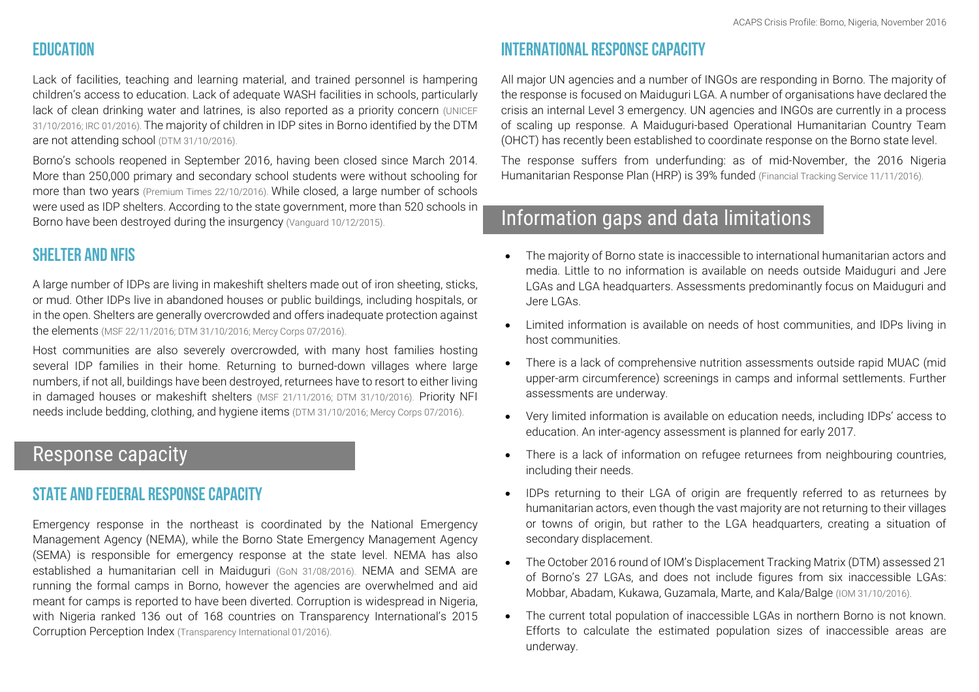### **FDUCATION**

Lack of facilities, teaching and learning material, and trained personnel is hampering children's access to education. Lack of adequate WASH facilities in schools, particularly lack of clean drinking water and latrines, is also reported as a priority concern (UNICEF) [31/10/2016;](https://www.unicef.org/appeals/files/UNICEF_Nigeria_Weekly_Humanitarian_Situation_Report_2_Nov_2016.pdf) [IRC 01/2016\)](http://reliefweb.int/sites/reliefweb.int/files/resources/nga_irc_assessment_report_born_and_adamawa_13042016.pdf). The majority of children in IDP sites in Borno identified by the DTM are not attending school [\(DTM 31/10/2016\)](http://reliefweb.int/sites/reliefweb.int/files/resources/01_dtm_nigeria_round_xii_report_october_2016.pdf).

Borno's schools reopened in September 2016, having been closed since March 2014. More than 250,000 primary and secondary school students were without schooling for more than two years [\(Premium Times 22/10/2016\)](http://www.premiumtimesng.com/news/headlines/213382-many-borno-schools-unsafe-years-chibok-abductions-report.html). While closed, a large number of schools were used as IDP shelters. According to the state government, more than 520 schools in Borno have been destroyed during the insurgency [\(Vanguard 10/12/2015\)](http://www.vanguardngr.com/2015/12/50-teachers-killed-520-schools-1000-classrooms-destroyed-by-b-haram-borno-govt/).

### Shelter and NFIs

A large number of IDPs are living in makeshift shelters made out of iron sheeting, sticks, or mud. Other IDPs live in abandoned houses or public buildings, including hospitals, or in the open. Shelters are generally overcrowded and offers inadequate protection against the elements [\(MSF 22/11/2016;](http://www.msf.org/en/article/nigeria-crisis-info-borno-emergency-november-2016#_ftn1) [DTM 31/10/2016;](http://reliefweb.int/sites/reliefweb.int/files/resources/01_dtm_nigeria_round_xii_report_october_2016.pdf) [Mercy Corps 07/2016\).](http://reliefweb.int/sites/reliefweb.int/files/resources/nga_mercycorps_borno_damboa_rapid_needs_assessment_072016.pdf)

Host communities are also severely overcrowded, with many host families hosting several IDP families in their home. Returning to burned-down villages where large numbers, if not all, buildings have been destroyed, returnees have to resort to either living in damaged houses or makeshift shelters [\(MSF 21/11/2016;](http://www.msf.org/en/article/nigeria-crisis-info-borno-emergency-november-2016#_ftn1) [DTM 31/10/2016\).](http://reliefweb.int/sites/reliefweb.int/files/resources/01_dtm_nigeria_round_xii_report_october_2016.pdf) Priority NFI needs include bedding, clothing, and hygiene items [\(DTM 31/10/2016;](http://reliefweb.int/sites/reliefweb.int/files/resources/01_dtm_nigeria_round_xii_report_october_2016.pdf) [Mercy Corps 07/2016\)](http://reliefweb.int/sites/reliefweb.int/files/resources/nga_mercycorps_borno_damboa_rapid_needs_assessment_072016.pdf).

## <span id="page-3-0"></span>Response capacity

#### State and federal response capacity

Emergency response in the northeast is coordinated by the National Emergency Management Agency (NEMA), while the Borno State Emergency Management Agency (SEMA) is responsible for emergency response at the state level. NEMA has also established a humanitarian cell in Maiduguri [\(GoN 31/08/2016\)](http://reliefweb.int/sites/reliefweb.int/files/resources/Humanitarian%20relief%20intervention%20in%20the%20north%20east%20-%20%20%20%20%20final.pdf). NEMA and SEMA are running the formal camps in Borno, however the agencies are overwhelmed and aid meant for camps is reported to have been diverted. Corruption is widespread in Nigeria, with Nigeria ranked 136 out of 168 countries on Transparency International's 2015 Corruption Perception Index [\(Transparency International 01/2016\)](http://www.transparency.org/cpi2015).

## International response capacity

All major UN agencies and a number of INGOs are responding in Borno. The majority of the response is focused on Maiduguri LGA. A number of organisations have declared the crisis an internal Level 3 emergency. UN agencies and INGOs are currently in a process of scaling up response. A Maiduguri-based Operational Humanitarian Country Team (OHCT) has recently been established to coordinate response on the Borno state level.

The response suffers from underfunding: as of mid-November, the 2016 Nigeria Humanitarian Response Plan (HRP) is 39% funded [\(Financial Tracking Service 11/11/2016\)](https://ftsbeta.unocha.org/?fromclassic=1).

## <span id="page-3-1"></span>Information gaps and data limitations

- The majority of Borno state is inaccessible to international humanitarian actors and media. Little to no information is available on needs outside Maiduguri and Jere LGAs and LGA headquarters. Assessments predominantly focus on Maiduguri and Jere LGAs.
- Limited information is available on needs of host communities, and IDPs living in host communities.
- There is a lack of comprehensive nutrition assessments outside rapid MUAC (mid upper-arm circumference) screenings in camps and informal settlements. Further assessments are underway.
- Very limited information is available on education needs, including IDPs' access to education. An inter-agency assessment is planned for early 2017.
- There is a lack of information on refugee returnees from neighbouring countries, including their needs.
- IDPs returning to their LGA of origin are frequently referred to as returnees by humanitarian actors, even though the vast majority are not returning to their villages or towns of origin, but rather to the LGA headquarters, creating a situation of secondary displacement.
- The October 2016 round of IOM's Displacement Tracking Matrix (DTM) assessed 21 of Borno's 27 LGAs, and does not include figures from six inaccessible LGAs: Mobbar, Abadam, Kukawa, Guzamala, Marte, and Kala/Balge [\(IOM 31/10/2016\)](http://reliefweb.int/sites/reliefweb.int/files/resources/01_dtm_nigeria_round_xii_report_october_2016.pdf).
- <span id="page-3-2"></span>• The current total population of inaccessible LGAs in northern Borno is not known. Efforts to calculate the estimated population sizes of inaccessible areas are underway.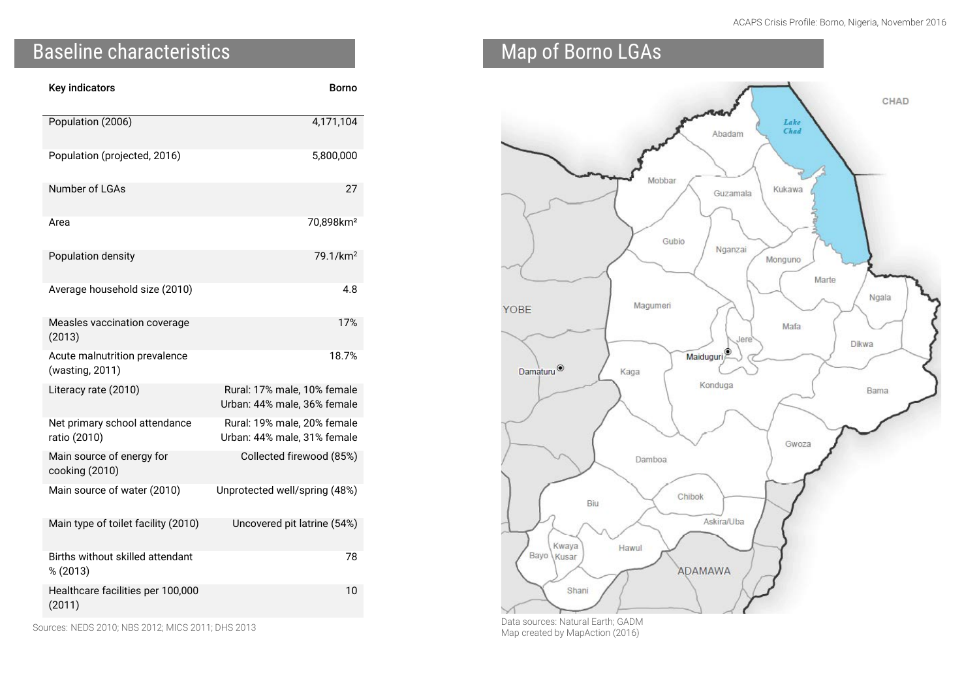# Baseline characteristics

| <b>Key indicators</b>                            | Borno                                                      |
|--------------------------------------------------|------------------------------------------------------------|
| Population (2006)                                | 4,171,104                                                  |
| Population (projected, 2016)                     | 5,800,000                                                  |
| Number of LGAs                                   | 27                                                         |
| Area                                             | 70,898km <sup>2</sup>                                      |
| Population density                               | 79.1/km <sup>2</sup>                                       |
| Average household size (2010)                    | 4.8                                                        |
| Measles vaccination coverage<br>(2013)           | 17%                                                        |
| Acute malnutrition prevalence<br>(wasting, 2011) | 18.7%                                                      |
| Literacy rate (2010)                             | Rural: 17% male, 10% female<br>Urban: 44% male, 36% female |
| Net primary school attendance<br>ratio (2010)    | Rural: 19% male, 20% female<br>Urban: 44% male, 31% female |
| Main source of energy for<br>cooking (2010)      | Collected firewood (85%)                                   |
| Main source of water (2010)                      | Unprotected well/spring (48%)                              |
| Main type of toilet facility (2010)              | Uncovered pit latrine (54%)                                |
| Births without skilled attendant<br>% (2013)     | 78                                                         |
| Healthcare facilities per 100,000<br>(2011)      | 10                                                         |

Sources: [NEDS](https://www.eddataglobal.org/household/index.cfm?fuseaction=showDatasetDir&A2=NG) 2010; NBS [2012;](http://www.nigerianstat.gov.ng/nbslibrary/social-economic-statistics/household-survey) [MICS 2011;](http://www.nigerianstat.gov.ng/nbslibrary/social-economic-statistics/Mics) [DHS 2013](https://dhsprogram.com/pubs/pdf/FR293/FR293.pdf)

# <span id="page-4-0"></span>Map of Borno LGAs